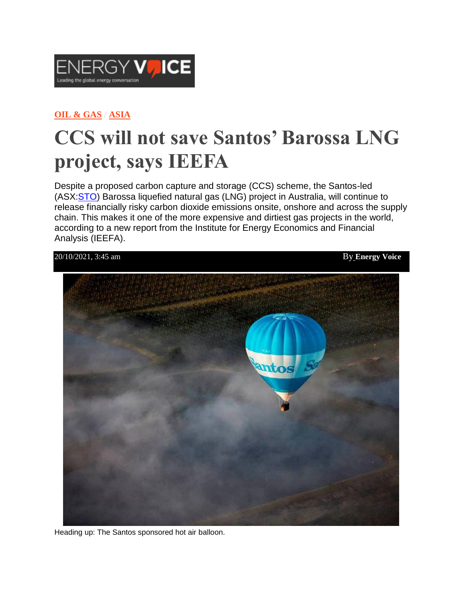

## **OIL & [GAS](https://www.energyvoice.com/category/oilandgas/) / [ASIA](https://www.energyvoice.com/category/oilandgas/asia/)**

## **CCS will not save Santos' Barossa LNG project, says IEEFA**

Despite a proposed carbon capture and storage (CCS) scheme, the Santos-led (ASX[:STO\)](https://www2.asx.com.au/markets/company/sto) Barossa liquefied natural gas (LNG) project in Australia, will continue to release financially risky carbon dioxide emissions onsite, onshore and across the supply chain. This makes it one of the more expensive and dirtiest gas projects in the world, according to a new report from the Institute for Energy Economics and Financial Analysis (IEEFA).



Heading up: The Santos sponsored hot air balloon.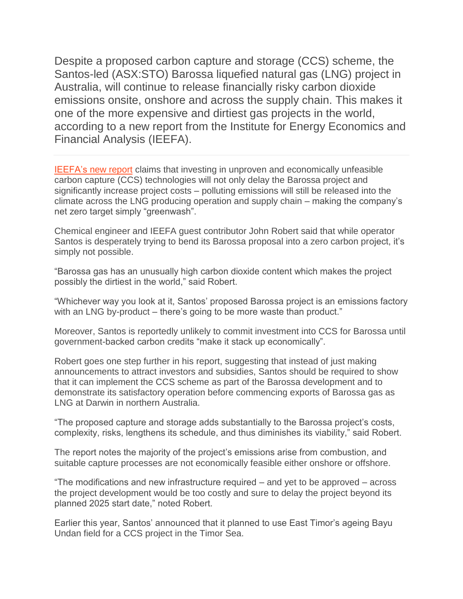Despite a proposed carbon capture and storage (CCS) scheme, the Santos-led (ASX:STO) Barossa liquefied natural gas (LNG) project in Australia, will continue to release financially risky carbon dioxide emissions onsite, onshore and across the supply chain. This makes it one of the more expensive and dirtiest gas projects in the world, according to a new report from the Institute for Energy Economics and Financial Analysis (IEEFA).

[IEEFA's](https://ieefa.org/wp-content/uploads/2021/10/How-To-Save-the-Barossa-Project-From-Itself_October-2021_3.pdf) new report claims that investing in unproven and economically unfeasible carbon capture (CCS) technologies will not only delay the Barossa project and significantly increase project costs – polluting emissions will still be released into the climate across the LNG producing operation and supply chain – making the company's net zero target simply "greenwash".

Chemical engineer and IEEFA guest contributor John Robert said that while operator Santos is desperately trying to bend its Barossa proposal into a zero carbon project, it's simply not possible.

"Barossa gas has an unusually high carbon dioxide content which makes the project possibly the dirtiest in the world," said Robert.

"Whichever way you look at it, Santos' proposed Barossa project is an emissions factory with an LNG by-product – there's going to be more waste than product."

Moreover, Santos is reportedly unlikely to commit investment into CCS for Barossa until government-backed carbon credits "make it stack up economically".

Robert goes one step further in his report, suggesting that instead of just making announcements to attract investors and subsidies, Santos should be required to show that it can implement the CCS scheme as part of the Barossa development and to demonstrate its satisfactory operation before commencing exports of Barossa gas as LNG at Darwin in northern Australia.

"The proposed capture and storage adds substantially to the Barossa project's costs, complexity, risks, lengthens its schedule, and thus diminishes its viability," said Robert.

The report notes the majority of the project's emissions arise from combustion, and suitable capture processes are not economically feasible either onshore or offshore.

"The modifications and new infrastructure required – and yet to be approved – across the project development would be too costly and sure to delay the project beyond its planned 2025 start date," noted Robert.

Earlier this year, Santos' announced that it planned to use East Timor's ageing Bayu Undan field for a CCS project in the Timor Sea.